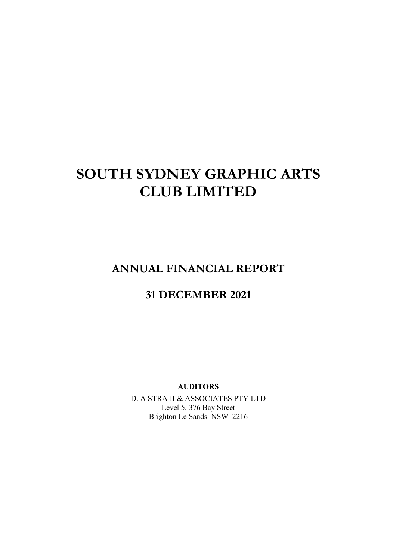# **SOUTH SYDNEY GRAPHIC ARTS CLUB LIMITED**

**ANNUAL FINANCIAL REPORT** 

# **31 DECEMBER 2021**

**AUDITORS** 

D. A STRATI & ASSOCIATES PTY LTD Level 5, 376 Bay Street Brighton Le Sands NSW 2216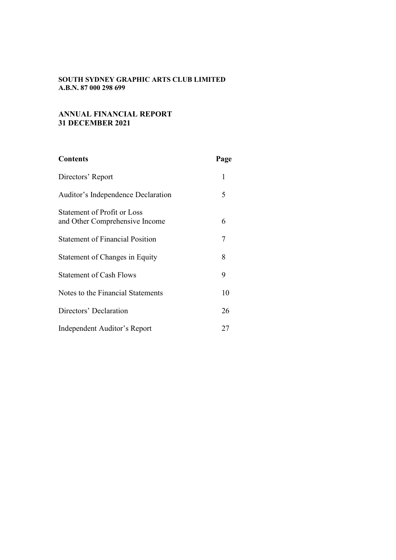# **ANNUAL FINANCIAL REPORT 31 DECEMBER 2021**

| <b>Contents</b>                                               | Page |
|---------------------------------------------------------------|------|
| Directors' Report                                             | 1    |
| Auditor's Independence Declaration                            | 5    |
| Statement of Profit or Loss<br>and Other Comprehensive Income | 6    |
| <b>Statement of Financial Position</b>                        | 7    |
| Statement of Changes in Equity                                | 8    |
| <b>Statement of Cash Flows</b>                                | 9    |
| Notes to the Financial Statements                             | 10   |
| Directors' Declaration                                        | 26   |
| Independent Auditor's Report                                  | 27   |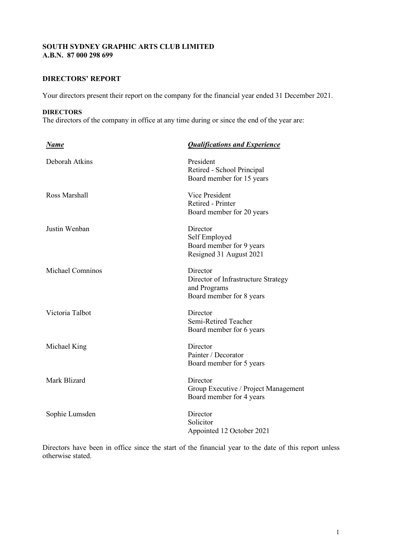# **DIRECTORS' REPORT**

Your directors present their report on the company for the financial year ended 31 December 2021.

#### **DIRECTORS**

The directors of the company in office at any time during or since the end of the year are:

| <u>Name</u>      | <b>Qualifications and Experience</b>                                                        |
|------------------|---------------------------------------------------------------------------------------------|
| Deborah Atkins   | President<br>Retired - School Principal<br>Board member for 15 years                        |
| Ross Marshall    | Vice President<br>Retired - Printer<br>Board member for 20 years                            |
| Justin Wenban    | Director<br>Self Employed<br>Board member for 9 years<br>Resigned 31 August 2021            |
| Michael Comninos | Director<br>Director of Infrastructure Strategy<br>and Programs<br>Board member for 8 years |
| Victoria Talbot  | Director<br>Semi-Retired Teacher<br>Board member for 6 years                                |
| Michael King     | Director<br>Painter / Decorator<br>Board member for 5 years                                 |
| Mark Blizard     | Director<br>Group Executive / Project Management<br>Board member for 4 years                |
| Sophie Lumsden   | Director<br>Solicitor<br>Appointed 12 October 2021                                          |

Directors have been in office since the start of the financial year to the date of this report unless otherwise stated.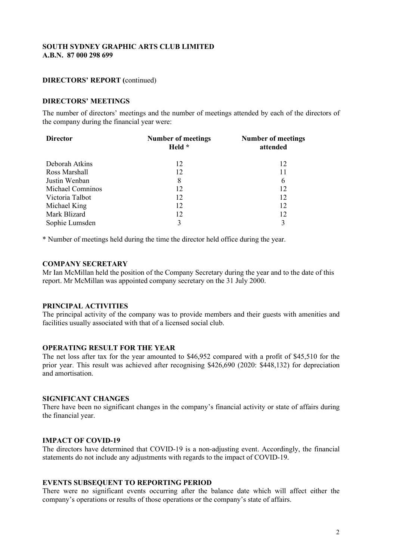# **DIRECTORS' REPORT (**continued)

# **DIRECTORS' MEETINGS**

The number of directors' meetings and the number of meetings attended by each of the directors of the company during the financial year were:

| <b>Director</b>  | <b>Number of meetings</b><br>Held * | <b>Number of meetings</b><br>attended |
|------------------|-------------------------------------|---------------------------------------|
| Deborah Atkins   | 12                                  | 12                                    |
| Ross Marshall    | 12                                  | 11                                    |
| Justin Wenban    | 8                                   | 6                                     |
| Michael Comninos | 12                                  | 12                                    |
| Victoria Talbot  | 12                                  | 12                                    |
| Michael King     | 12                                  | 12                                    |
| Mark Blizard     | 12                                  | 12                                    |
| Sophie Lumsden   | 3                                   |                                       |

\* Number of meetings held during the time the director held office during the year.

#### **COMPANY SECRETARY**

Mr Ian McMillan held the position of the Company Secretary during the year and to the date of this report. Mr McMillan was appointed company secretary on the 31 July 2000.

#### **PRINCIPAL ACTIVITIES**

The principal activity of the company was to provide members and their guests with amenities and facilities usually associated with that of a licensed social club.

# **OPERATING RESULT FOR THE YEAR**

The net loss after tax for the year amounted to \$46,952 compared with a profit of \$45,510 for the prior year. This result was achieved after recognising \$426,690 (2020: \$448,132) for depreciation and amortisation.

### **SIGNIFICANT CHANGES**

There have been no significant changes in the company's financial activity or state of affairs during the financial year.

# **IMPACT OF COVID-19**

The directors have determined that COVID-19 is a non-adjusting event. Accordingly, the financial statements do not include any adjustments with regards to the impact of COVID-19.

#### **EVENTS SUBSEQUENT TO REPORTING PERIOD**

There were no significant events occurring after the balance date which will affect either the company's operations or results of those operations or the company's state of affairs.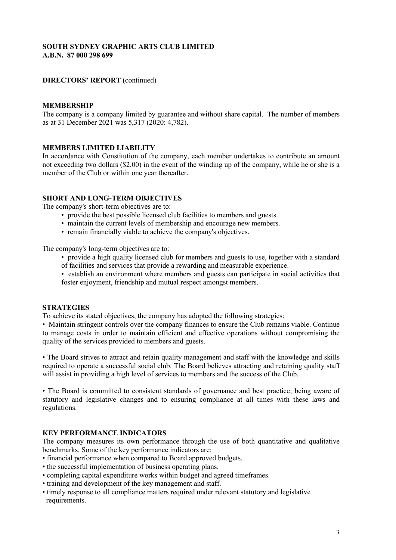# **DIRECTORS' REPORT (**continued)

# **MEMBERSHIP**

The company is a company limited by guarantee and without share capital. The number of members as at 31 December 2021 was 5,317 (2020: 4,782).

# **MEMBERS LIMITED LIABILITY**

In accordance with Constitution of the company, each member undertakes to contribute an amount not exceeding two dollars (\$2.00) in the event of the winding up of the company, while he or she is a member of the Club or within one year thereafter.

# **SHORT AND LONG-TERM OBJECTIVES**

The company's short-term objectives are to:

- provide the best possible licensed club facilities to members and guests.
- maintain the current levels of membership and encourage new members.
- remain financially viable to achieve the company's objectives.

The company's long-term objectives are to:

- provide a high quality licensed club for members and guests to use, together with a standard of facilities and services that provide a rewarding and measurable experience.
- establish an environment where members and guests can participate in social activities that foster enjoyment, friendship and mutual respect amongst members.

# **STRATEGIES**

To achieve its stated objectives, the company has adopted the following strategies:

• Maintain stringent controls over the company finances to ensure the Club remains viable. Continue to manage costs in order to maintain efficient and effective operations without compromising the quality of the services provided to members and guests.

• The Board strives to attract and retain quality management and staff with the knowledge and skills required to operate a successful social club. The Board believes attracting and retaining quality staff will assist in providing a high level of services to members and the success of the Club.

• The Board is committed to consistent standards of governance and best practice; being aware of statutory and legislative changes and to ensuring compliance at all times with these laws and regulations.

# **KEY PERFORMANCE INDICATORS**

The company measures its own performance through the use of both quantitative and qualitative benchmarks. Some of the key performance indicators are:

- financial performance when compared to Board approved budgets.
- the successful implementation of business operating plans.
- completing capital expenditure works within budget and agreed timeframes.
- training and development of the key management and staff.
- timely response to all compliance matters required under relevant statutory and legislative requirements.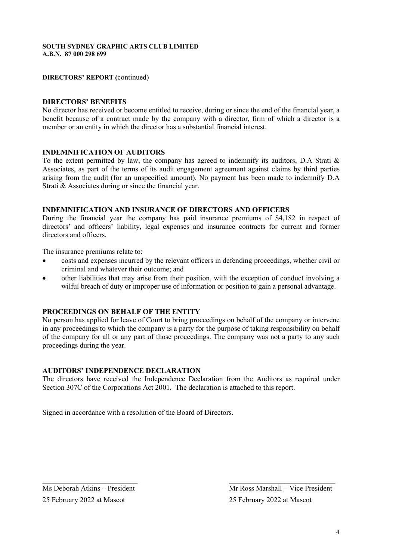# **DIRECTORS' REPORT (**continued)

# **DIRECTORS' BENEFITS**

No director has received or become entitled to receive, during or since the end of the financial year, a benefit because of a contract made by the company with a director, firm of which a director is a member or an entity in which the director has a substantial financial interest.

# **INDEMNIFICATION OF AUDITORS**

To the extent permitted by law, the company has agreed to indemnify its auditors, D.A Strati  $\&$ Associates, as part of the terms of its audit engagement agreement against claims by third parties arising from the audit (for an unspecified amount). No payment has been made to indemnify D.A Strati & Associates during or since the financial year.

# **INDEMNIFICATION AND INSURANCE OF DIRECTORS AND OFFICERS**

During the financial year the company has paid insurance premiums of \$4,182 in respect of directors' and officers' liability, legal expenses and insurance contracts for current and former directors and officers.

The insurance premiums relate to:

- costs and expenses incurred by the relevant officers in defending proceedings, whether civil or criminal and whatever their outcome; and
- other liabilities that may arise from their position, with the exception of conduct involving a wilful breach of duty or improper use of information or position to gain a personal advantage.

# **PROCEEDINGS ON BEHALF OF THE ENTITY**

No person has applied for leave of Court to bring proceedings on behalf of the company or intervene in any proceedings to which the company is a party for the purpose of taking responsibility on behalf of the company for all or any part of those proceedings. The company was not a party to any such proceedings during the year.

# **AUDITORS' INDEPENDENCE DECLARATION**

The directors have received the Independence Declaration from the Auditors as required under Section 307C of the Corporations Act 2001. The declaration is attached to this report.

 $\mathcal{L}_\text{max}$  , and the contract of the contract of the contract of the contract of the contract of the contract of the contract of the contract of the contract of the contract of the contract of the contract of the contr

Signed in accordance with a resolution of the Board of Directors.

25 February 2022 at Mascot 25 February 2022 at Mascot

 $\overline{M}$ s Deborah Atkins – President Mr Ross Marshall – Vice President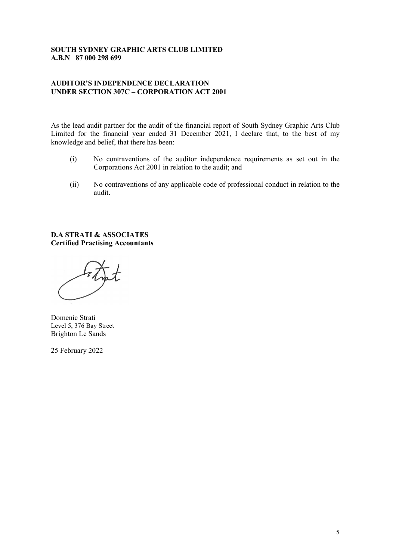# **AUDITOR'S INDEPENDENCE DECLARATION UNDER SECTION 307C – CORPORATION ACT 2001**

As the lead audit partner for the audit of the financial report of South Sydney Graphic Arts Club Limited for the financial year ended 31 December 2021, I declare that, to the best of my knowledge and belief, that there has been:

- (i) No contraventions of the auditor independence requirements as set out in the Corporations Act 2001 in relation to the audit; and
- (ii) No contraventions of any applicable code of professional conduct in relation to the audit.

**D.A STRATI & ASSOCIATES Certified Practising Accountants** 

Domenic Strati Level 5, 376 Bay Street Brighton Le Sands

25 February 2022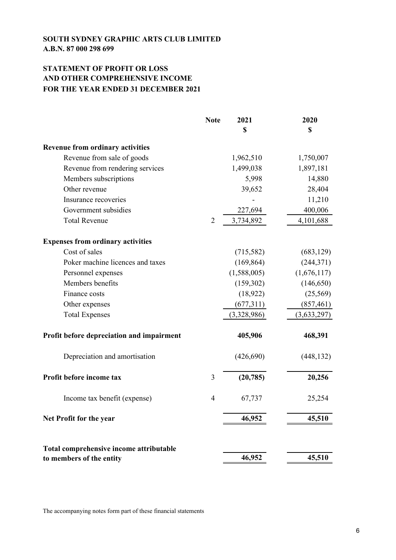# **STATEMENT OF PROFIT OR LOSS AND OTHER COMPREHENSIVE INCOME FOR THE YEAR ENDED 31 DECEMBER 2021**

|                                           | <b>Note</b>    | 2021<br>\$  | 2020<br>$\mathbf S$ |
|-------------------------------------------|----------------|-------------|---------------------|
| <b>Revenue from ordinary activities</b>   |                |             |                     |
| Revenue from sale of goods                |                | 1,962,510   | 1,750,007           |
| Revenue from rendering services           |                | 1,499,038   | 1,897,181           |
| Members subscriptions                     |                | 5,998       | 14,880              |
| Other revenue                             |                | 39,652      | 28,404              |
| Insurance recoveries                      |                |             | 11,210              |
| Government subsidies                      |                | 227,694     | 400,006             |
| <b>Total Revenue</b>                      | $\overline{2}$ | 3,734,892   | 4,101,688           |
| <b>Expenses from ordinary activities</b>  |                |             |                     |
| Cost of sales                             |                | (715,582)   | (683, 129)          |
| Poker machine licences and taxes          |                | (169, 864)  | (244, 371)          |
| Personnel expenses                        |                | (1,588,005) | (1,676,117)         |
| Members benefits                          |                | (159, 302)  | (146, 650)          |
| Finance costs                             |                | (18, 922)   | (25, 569)           |
| Other expenses                            |                | (677, 311)  | (857, 461)          |
| <b>Total Expenses</b>                     |                | (3,328,986) | (3,633,297)         |
| Profit before depreciation and impairment |                | 405,906     | 468,391             |
| Depreciation and amortisation             |                | (426, 690)  | (448, 132)          |
| Profit before income tax                  | 3              | (20, 785)   | 20,256              |
| Income tax benefit (expense)              | $\overline{4}$ | 67,737      | 25,254              |
| Net Profit for the year                   |                | 46,952      | 45,510              |
| Total comprehensive income attributable   |                |             |                     |
| to members of the entity                  |                | 46,952      | 45,510              |

The accompanying notes form part of these financial statements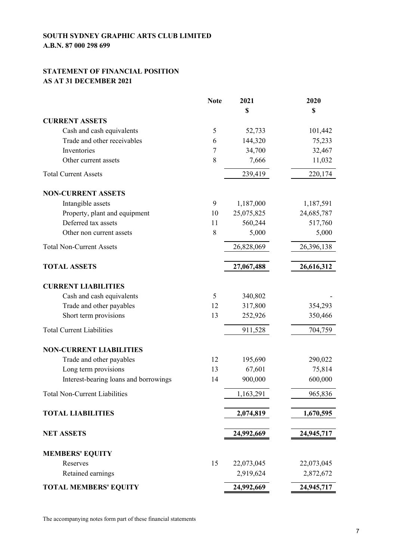# **STATEMENT OF FINANCIAL POSITION AS AT 31 DECEMBER 2021**

|                                       | <b>Note</b> | 2021       | 2020       |
|---------------------------------------|-------------|------------|------------|
|                                       |             | \$         | \$         |
| <b>CURRENT ASSETS</b>                 |             |            |            |
| Cash and cash equivalents             | 5           | 52,733     | 101,442    |
| Trade and other receivables           | 6           | 144,320    | 75,233     |
| Inventories                           | 7           | 34,700     | 32,467     |
| Other current assets                  | 8           | 7,666      | 11,032     |
| <b>Total Current Assets</b>           |             | 239,419    | 220,174    |
| <b>NON-CURRENT ASSETS</b>             |             |            |            |
| Intangible assets                     | 9           | 1,187,000  | 1,187,591  |
| Property, plant and equipment         | 10          | 25,075,825 | 24,685,787 |
| Deferred tax assets                   | 11          | 560,244    | 517,760    |
| Other non current assets              | 8           | 5,000      | 5,000      |
| <b>Total Non-Current Assets</b>       |             | 26,828,069 | 26,396,138 |
| <b>TOTAL ASSETS</b>                   |             | 27,067,488 | 26,616,312 |
| <b>CURRENT LIABILITIES</b>            |             |            |            |
| Cash and cash equivalents             | 5           | 340,802    |            |
| Trade and other payables              | 12          | 317,800    | 354,293    |
| Short term provisions                 | 13          | 252,926    | 350,466    |
| <b>Total Current Liabilities</b>      |             | 911,528    | 704,759    |
| <b>NON-CURRENT LIABILITIES</b>        |             |            |            |
| Trade and other payables              | 12          | 195,690    | 290,022    |
| Long term provisions                  | 13          | 67,601     | 75,814     |
| Interest-bearing loans and borrowings | 14          | 900,000    | 600,000    |
| <b>Total Non-Current Liabilities</b>  |             | 1,163,291  | 965,836    |
| <b>TOTAL LIABILITIES</b>              |             | 2,074,819  | 1,670,595  |
| <b>NET ASSETS</b>                     |             | 24,992,669 | 24,945,717 |
| <b>MEMBERS' EQUITY</b>                |             |            |            |
| Reserves                              | 15          | 22,073,045 | 22,073,045 |
| Retained earnings                     |             | 2,919,624  | 2,872,672  |
| <b>TOTAL MEMBERS' EQUITY</b>          |             | 24,992,669 | 24,945,717 |

The accompanying notes form part of these financial statements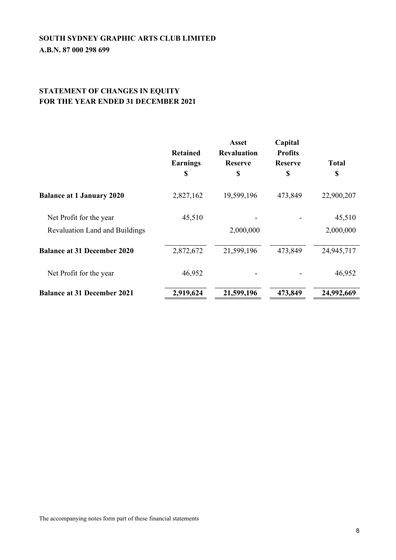# **STATEMENT OF CHANGES IN EQUITY FOR THE YEAR ENDED 31 DECEMBER 2021**

|                                                           | <b>Retained</b><br><b>Earnings</b><br>\$ | <b>Asset</b><br><b>Revaluation</b><br><b>Reserve</b><br>\$ | Capital<br><b>Profits</b><br><b>Reserve</b><br>\$ | <b>Total</b><br>\$  |
|-----------------------------------------------------------|------------------------------------------|------------------------------------------------------------|---------------------------------------------------|---------------------|
| <b>Balance at 1 January 2020</b>                          | 2,827,162                                | 19,599,196                                                 | 473,849                                           | 22,900,207          |
| Net Profit for the year<br>Revaluation Land and Buildings | 45,510                                   | 2,000,000                                                  |                                                   | 45,510<br>2,000,000 |
| <b>Balance at 31 December 2020</b>                        | 2,872,672                                | 21,599,196                                                 | 473,849                                           | 24,945,717          |
| Net Profit for the year                                   | 46,952                                   |                                                            |                                                   | 46,952              |
| <b>Balance at 31 December 2021</b>                        | 2,919,624                                | 21,599,196                                                 | 473,849                                           | 24,992,669          |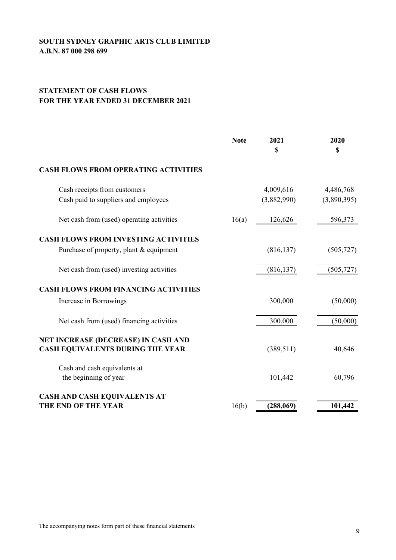# **STATEMENT OF CASH FLOWS FOR THE YEAR ENDED 31 DECEMBER 2021**

|                                                                                        | <b>Note</b> | 2021<br>\$               | 2020<br>\$               |
|----------------------------------------------------------------------------------------|-------------|--------------------------|--------------------------|
| <b>CASH FLOWS FROM OPERATING ACTIVITIES</b>                                            |             |                          |                          |
| Cash receipts from customers<br>Cash paid to suppliers and employees                   |             | 4,009,616<br>(3,882,990) | 4,486,768<br>(3,890,395) |
| Net cash from (used) operating activities                                              | 16(a)       | 126,626                  | 596,373                  |
| <b>CASH FLOWS FROM INVESTING ACTIVITIES</b><br>Purchase of property, plant & equipment |             | (816, 137)               | (505, 727)               |
| Net cash from (used) investing activities                                              |             | (816, 137)               | (505, 727)               |
| <b>CASH FLOWS FROM FINANCING ACTIVITIES</b>                                            |             |                          |                          |
| Increase in Borrowings                                                                 |             | 300,000                  | (50,000)                 |
| Net cash from (used) financing activities                                              |             | 300,000                  | (50,000)                 |
| NET INCREASE (DECREASE) IN CASH AND<br><b>CASH EQUIVALENTS DURING THE YEAR</b>         |             | (389, 511)               | 40,646                   |
| Cash and cash equivalents at<br>the beginning of year                                  |             | 101,442                  | 60,796                   |
| <b>CASH AND CASH EQUIVALENTS AT</b><br><b>THE END OF THE YEAR</b>                      | 16(b)       | (288,069)                | 101,442                  |
|                                                                                        |             |                          |                          |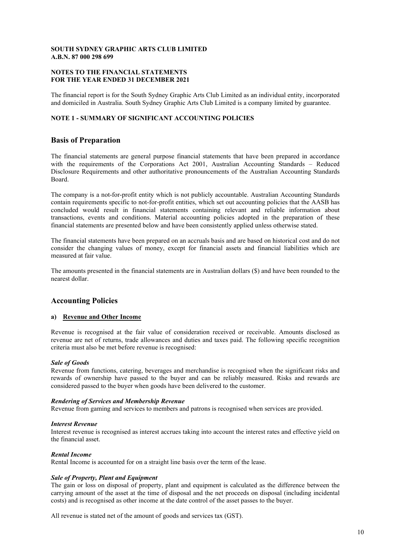### **NOTES TO THE FINANCIAL STATEMENTS FOR THE YEAR ENDED 31 DECEMBER 2021**

The financial report is for the South Sydney Graphic Arts Club Limited as an individual entity, incorporated and domiciled in Australia. South Sydney Graphic Arts Club Limited is a company limited by guarantee.

#### **NOTE 1 - SUMMARY OF SIGNIFICANT ACCOUNTING POLICIES**

# **Basis of Preparation**

The financial statements are general purpose financial statements that have been prepared in accordance with the requirements of the Corporations Act 2001, Australian Accounting Standards – Reduced Disclosure Requirements and other authoritative pronouncements of the Australian Accounting Standards Board.

The company is a not-for-profit entity which is not publicly accountable. Australian Accounting Standards contain requirements specific to not-for-profit entities, which set out accounting policies that the AASB has concluded would result in financial statements containing relevant and reliable information about transactions, events and conditions. Material accounting policies adopted in the preparation of these financial statements are presented below and have been consistently applied unless otherwise stated.

The financial statements have been prepared on an accruals basis and are based on historical cost and do not consider the changing values of money, except for financial assets and financial liabilities which are measured at fair value.

The amounts presented in the financial statements are in Australian dollars (\$) and have been rounded to the nearest dollar.

# **Accounting Policies**

#### **a) Revenue and Other Income**

Revenue is recognised at the fair value of consideration received or receivable. Amounts disclosed as revenue are net of returns, trade allowances and duties and taxes paid. The following specific recognition criteria must also be met before revenue is recognised:

#### *Sale of Goods*

Revenue from functions, catering, beverages and merchandise is recognised when the significant risks and rewards of ownership have passed to the buyer and can be reliably measured. Risks and rewards are considered passed to the buyer when goods have been delivered to the customer.

#### *Rendering of Services and Membership Revenue*

Revenue from gaming and services to members and patrons is recognised when services are provided.

#### *Interest Revenue*

Interest revenue is recognised as interest accrues taking into account the interest rates and effective yield on the financial asset.

#### *Rental Income*

Rental Income is accounted for on a straight line basis over the term of the lease.

#### *Sale of Property, Plant and Equipment*

The gain or loss on disposal of property, plant and equipment is calculated as the difference between the carrying amount of the asset at the time of disposal and the net proceeds on disposal (including incidental costs) and is recognised as other income at the date control of the asset passes to the buyer.

All revenue is stated net of the amount of goods and services tax (GST).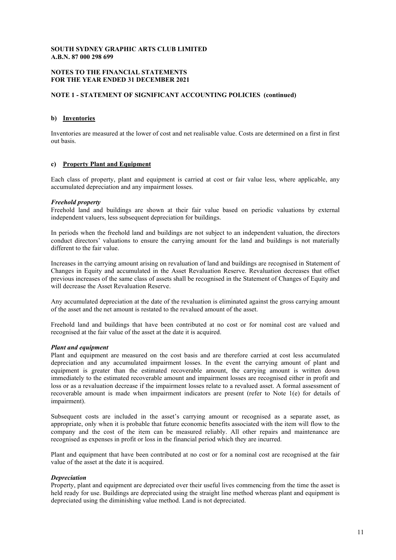#### **NOTES TO THE FINANCIAL STATEMENTS FOR THE YEAR ENDED 31 DECEMBER 2021**

#### **NOTE 1 - STATEMENT OF SIGNIFICANT ACCOUNTING POLICIES (continued)**

#### **b) Inventories**

Inventories are measured at the lower of cost and net realisable value. Costs are determined on a first in first out basis.

#### **c) Property Plant and Equipment**

Each class of property, plant and equipment is carried at cost or fair value less, where applicable, any accumulated depreciation and any impairment losses.

#### *Freehold property*

Freehold land and buildings are shown at their fair value based on periodic valuations by external independent valuers, less subsequent depreciation for buildings.

In periods when the freehold land and buildings are not subject to an independent valuation, the directors conduct directors' valuations to ensure the carrying amount for the land and buildings is not materially different to the fair value.

Increases in the carrying amount arising on revaluation of land and buildings are recognised in Statement of Changes in Equity and accumulated in the Asset Revaluation Reserve. Revaluation decreases that offset previous increases of the same class of assets shall be recognised in the Statement of Changes of Equity and will decrease the Asset Revaluation Reserve.

Any accumulated depreciation at the date of the revaluation is eliminated against the gross carrying amount of the asset and the net amount is restated to the revalued amount of the asset.

Freehold land and buildings that have been contributed at no cost or for nominal cost are valued and recognised at the fair value of the asset at the date it is acquired.

#### *Plant and equipment*

Plant and equipment are measured on the cost basis and are therefore carried at cost less accumulated depreciation and any accumulated impairment losses. In the event the carrying amount of plant and equipment is greater than the estimated recoverable amount, the carrying amount is written down immediately to the estimated recoverable amount and impairment losses are recognised either in profit and loss or as a revaluation decrease if the impairment losses relate to a revalued asset. A formal assessment of recoverable amount is made when impairment indicators are present (refer to Note 1(e) for details of impairment).

Subsequent costs are included in the asset's carrying amount or recognised as a separate asset, as appropriate, only when it is probable that future economic benefits associated with the item will flow to the company and the cost of the item can be measured reliably. All other repairs and maintenance are recognised as expenses in profit or loss in the financial period which they are incurred.

Plant and equipment that have been contributed at no cost or for a nominal cost are recognised at the fair value of the asset at the date it is acquired.

#### *Depreciation*

Property, plant and equipment are depreciated over their useful lives commencing from the time the asset is held ready for use. Buildings are depreciated using the straight line method whereas plant and equipment is depreciated using the diminishing value method. Land is not depreciated.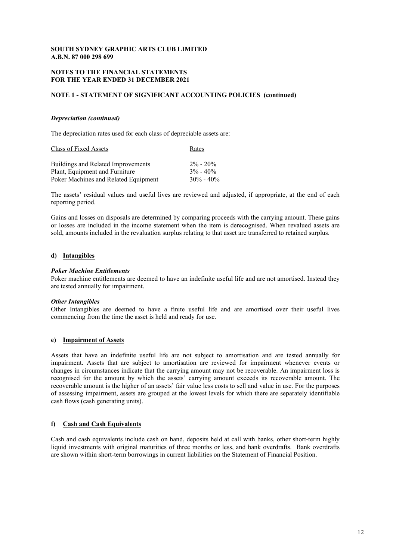#### **NOTES TO THE FINANCIAL STATEMENTS FOR THE YEAR ENDED 31 DECEMBER 2021**

#### **NOTE 1 - STATEMENT OF SIGNIFICANT ACCOUNTING POLICIES (continued)**

#### *Depreciation (continued)*

The depreciation rates used for each class of depreciable assets are:

| Class of Fixed Assets                | Rates         |
|--------------------------------------|---------------|
| Buildings and Related Improvements   | $2\% - 20\%$  |
| Plant, Equipment and Furniture       | $3\% - 40\%$  |
| Poker Machines and Related Equipment | $30\% - 40\%$ |

The assets' residual values and useful lives are reviewed and adjusted, if appropriate, at the end of each reporting period.

Gains and losses on disposals are determined by comparing proceeds with the carrying amount. These gains or losses are included in the income statement when the item is derecognised. When revalued assets are sold, amounts included in the revaluation surplus relating to that asset are transferred to retained surplus.

#### **d) Intangibles**

#### *Poker Machine Entitlements*

Poker machine entitlements are deemed to have an indefinite useful life and are not amortised. Instead they are tested annually for impairment.

#### *Other Intangibles*

Other Intangibles are deemed to have a finite useful life and are amortised over their useful lives commencing from the time the asset is held and ready for use.

#### **e) Impairment of Assets**

Assets that have an indefinite useful life are not subject to amortisation and are tested annually for impairment. Assets that are subject to amortisation are reviewed for impairment whenever events or changes in circumstances indicate that the carrying amount may not be recoverable. An impairment loss is recognised for the amount by which the assets' carrying amount exceeds its recoverable amount. The recoverable amount is the higher of an assets' fair value less costs to sell and value in use. For the purposes of assessing impairment, assets are grouped at the lowest levels for which there are separately identifiable cash flows (cash generating units).

#### **f) Cash and Cash Equivalents**

Cash and cash equivalents include cash on hand, deposits held at call with banks, other short-term highly liquid investments with original maturities of three months or less, and bank overdrafts. Bank overdrafts are shown within short-term borrowings in current liabilities on the Statement of Financial Position.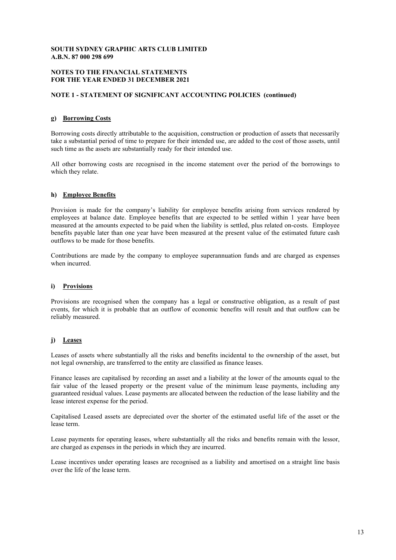#### **NOTES TO THE FINANCIAL STATEMENTS FOR THE YEAR ENDED 31 DECEMBER 2021**

#### **NOTE 1 - STATEMENT OF SIGNIFICANT ACCOUNTING POLICIES (continued)**

#### **g) Borrowing Costs**

Borrowing costs directly attributable to the acquisition, construction or production of assets that necessarily take a substantial period of time to prepare for their intended use, are added to the cost of those assets, until such time as the assets are substantially ready for their intended use.

All other borrowing costs are recognised in the income statement over the period of the borrowings to which they relate.

#### **h) Employee Benefits**

Provision is made for the company's liability for employee benefits arising from services rendered by employees at balance date. Employee benefits that are expected to be settled within 1 year have been measured at the amounts expected to be paid when the liability is settled, plus related on-costs. Employee benefits payable later than one year have been measured at the present value of the estimated future cash outflows to be made for those benefits.

Contributions are made by the company to employee superannuation funds and are charged as expenses when incurred.

#### **i) Provisions**

Provisions are recognised when the company has a legal or constructive obligation, as a result of past events, for which it is probable that an outflow of economic benefits will result and that outflow can be reliably measured.

#### **j) Leases**

Leases of assets where substantially all the risks and benefits incidental to the ownership of the asset, but not legal ownership, are transferred to the entity are classified as finance leases.

Finance leases are capitalised by recording an asset and a liability at the lower of the amounts equal to the fair value of the leased property or the present value of the minimum lease payments, including any guaranteed residual values. Lease payments are allocated between the reduction of the lease liability and the lease interest expense for the period.

Capitalised Leased assets are depreciated over the shorter of the estimated useful life of the asset or the lease term.

Lease payments for operating leases, where substantially all the risks and benefits remain with the lessor, are charged as expenses in the periods in which they are incurred.

Lease incentives under operating leases are recognised as a liability and amortised on a straight line basis over the life of the lease term.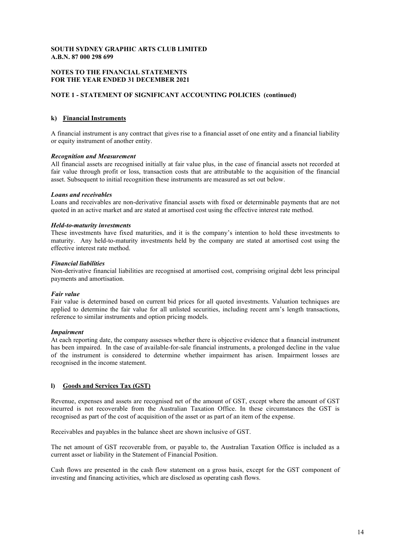#### **NOTES TO THE FINANCIAL STATEMENTS FOR THE YEAR ENDED 31 DECEMBER 2021**

#### **NOTE 1 - STATEMENT OF SIGNIFICANT ACCOUNTING POLICIES (continued)**

#### **k) Financial Instruments**

A financial instrument is any contract that gives rise to a financial asset of one entity and a financial liability or equity instrument of another entity.

#### *Recognition and Measurement*

All financial assets are recognised initially at fair value plus, in the case of financial assets not recorded at fair value through profit or loss, transaction costs that are attributable to the acquisition of the financial asset. Subsequent to initial recognition these instruments are measured as set out below.

#### *Loans and receivables*

Loans and receivables are non-derivative financial assets with fixed or determinable payments that are not quoted in an active market and are stated at amortised cost using the effective interest rate method.

#### *Held-to-maturity investments*

These investments have fixed maturities, and it is the company's intention to hold these investments to maturity. Any held-to-maturity investments held by the company are stated at amortised cost using the effective interest rate method.

#### *Financial liabilities*

Non-derivative financial liabilities are recognised at amortised cost, comprising original debt less principal payments and amortisation.

#### *Fair value*

Fair value is determined based on current bid prices for all quoted investments. Valuation techniques are applied to determine the fair value for all unlisted securities, including recent arm's length transactions, reference to similar instruments and option pricing models.

#### *Impairment*

At each reporting date, the company assesses whether there is objective evidence that a financial instrument has been impaired. In the case of available-for-sale financial instruments, a prolonged decline in the value of the instrument is considered to determine whether impairment has arisen. Impairment losses are recognised in the income statement.

#### **l) Goods and Services Tax (GST)**

Revenue, expenses and assets are recognised net of the amount of GST, except where the amount of GST incurred is not recoverable from the Australian Taxation Office. In these circumstances the GST is recognised as part of the cost of acquisition of the asset or as part of an item of the expense.

Receivables and payables in the balance sheet are shown inclusive of GST.

The net amount of GST recoverable from, or payable to, the Australian Taxation Office is included as a current asset or liability in the Statement of Financial Position.

Cash flows are presented in the cash flow statement on a gross basis, except for the GST component of investing and financing activities, which are disclosed as operating cash flows.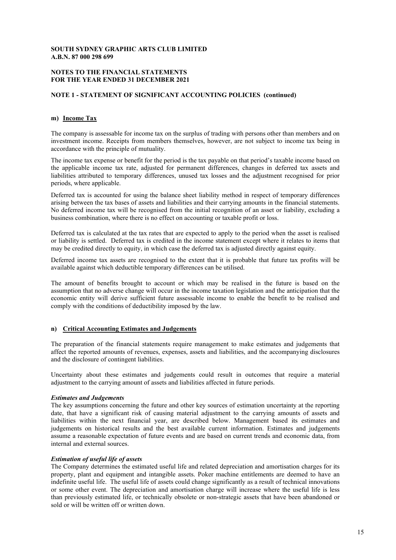#### **NOTES TO THE FINANCIAL STATEMENTS FOR THE YEAR ENDED 31 DECEMBER 2021**

#### **NOTE 1 - STATEMENT OF SIGNIFICANT ACCOUNTING POLICIES (continued)**

#### **m) Income Tax**

The company is assessable for income tax on the surplus of trading with persons other than members and on investment income. Receipts from members themselves, however, are not subject to income tax being in accordance with the principle of mutuality.

The income tax expense or benefit for the period is the tax payable on that period's taxable income based on the applicable income tax rate, adjusted for permanent differences, changes in deferred tax assets and liabilities attributed to temporary differences, unused tax losses and the adjustment recognised for prior periods, where applicable.

Deferred tax is accounted for using the balance sheet liability method in respect of temporary differences arising between the tax bases of assets and liabilities and their carrying amounts in the financial statements. No deferred income tax will be recognised from the initial recognition of an asset or liability, excluding a business combination, where there is no effect on accounting or taxable profit or loss.

Deferred tax is calculated at the tax rates that are expected to apply to the period when the asset is realised or liability is settled. Deferred tax is credited in the income statement except where it relates to items that may be credited directly to equity, in which case the deferred tax is adjusted directly against equity.

Deferred income tax assets are recognised to the extent that it is probable that future tax profits will be available against which deductible temporary differences can be utilised.

The amount of benefits brought to account or which may be realised in the future is based on the assumption that no adverse change will occur in the income taxation legislation and the anticipation that the economic entity will derive sufficient future assessable income to enable the benefit to be realised and comply with the conditions of deductibility imposed by the law.

#### **n) Critical Accounting Estimates and Judgements**

The preparation of the financial statements require management to make estimates and judgements that affect the reported amounts of revenues, expenses, assets and liabilities, and the accompanying disclosures and the disclosure of contingent liabilities.

Uncertainty about these estimates and judgements could result in outcomes that require a material adjustment to the carrying amount of assets and liabilities affected in future periods.

#### *Estimates and Judgements*

The key assumptions concerning the future and other key sources of estimation uncertainty at the reporting date, that have a significant risk of causing material adjustment to the carrying amounts of assets and liabilities within the next financial year, are described below. Management based its estimates and judgements on historical results and the best available current information. Estimates and judgements assume a reasonable expectation of future events and are based on current trends and economic data, from internal and external sources.

#### *Estimation of useful life of assets*

The Company determines the estimated useful life and related depreciation and amortisation charges for its property, plant and equipment and intangible assets. Poker machine entitlements are deemed to have an indefinite useful life. The useful life of assets could change significantly as a result of technical innovations or some other event. The depreciation and amortisation charge will increase where the useful life is less than previously estimated life, or technically obsolete or non-strategic assets that have been abandoned or sold or will be written off or written down.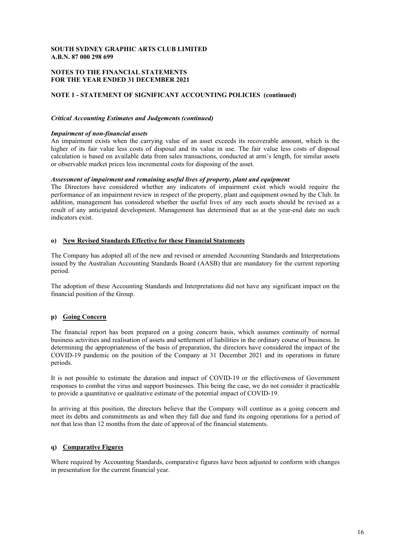#### **NOTES TO THE FINANCIAL STATEMENTS FOR THE YEAR ENDED 31 DECEMBER 2021**

#### **NOTE 1 - STATEMENT OF SIGNIFICANT ACCOUNTING POLICIES (continued)**

#### *Critical Accounting Estimates and Judgements (continued)*

#### *Impairment of non-financial assets*

An impairment exists when the carrying value of an asset exceeds its recoverable amount, which is the higher of its fair value less costs of disposal and its value in use. The fair value less costs of disposal calculation is based on available data from sales transactions, conducted at arm's length, for similar assets or observable market prices less incremental costs for disposing of the asset.

#### *Assessment of impairment and remaining useful lives of property, plant and equipment*

The Directors have considered whether any indicators of impairment exist which would require the performance of an impairment review in respect of the property, plant and equipment owned by the Club. In addition, management has considered whether the useful lives of any such assets should be revised as a result of any anticipated development. Management has determined that as at the year-end date no such indicators exist.

#### **o) New Revised Standards Effective for these Financial Statements**

The Company has adopted all of the new and revised or amended Accounting Standards and Interpretations issued by the Australian Accounting Standards Board (AASB) that are mandatory for the current reporting period.

The adoption of these Accounting Standards and Interpretations did not have any significant impact on the financial position of the Group.

#### **p) Going Concern**

The financial report has been prepared on a going concern basis, which assumes continuity of normal business activities and realisation of assets and settlement of liabilities in the ordinary course of business. In determining the appropriateness of the basis of preparation, the directors have considered the impact of the COVID-19 pandemic on the position of the Company at 31 December 2021 and its operations in future periods.

It is not possible to estimate the duration and impact of COVID-19 or the effectiveness of Government responses to combat the virus and support businesses. This being the case, we do not consider it practicable to provide a quantitative or qualitative estimate of the potential impact of COVID-19.

In arriving at this position, the directors believe that the Company will continue as a going concern and meet its debts and commitments as and when they fall due and fund its ongoing operations for a period of not that less than 12 months from the date of approval of the financial statements.

#### **q) Comparative Figures**

Where required by Accounting Standards, comparative figures have been adjusted to conform with changes in presentation for the current financial year.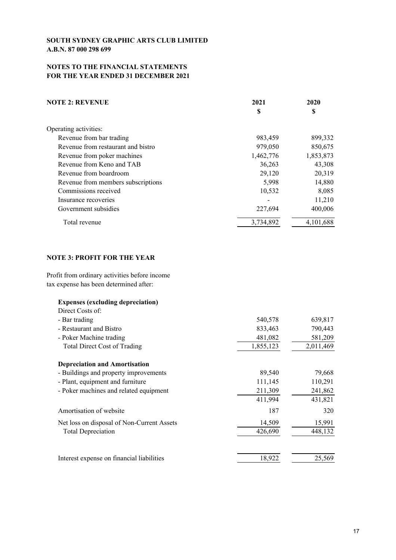# **NOTES TO THE FINANCIAL STATEMENTS FOR THE YEAR ENDED 31 DECEMBER 2021**

| <b>NOTE 2: REVENUE</b>             | 2021      | 2020      |
|------------------------------------|-----------|-----------|
|                                    | S         | S         |
| Operating activities:              |           |           |
| Revenue from bar trading           | 983,459   | 899,332   |
| Revenue from restaurant and bistro | 979,050   | 850,675   |
| Revenue from poker machines        | 1,462,776 | 1,853,873 |
| Revenue from Keno and TAB          | 36,263    | 43,308    |
| Revenue from boardroom             | 29,120    | 20,319    |
| Revenue from members subscriptions | 5,998     | 14,880    |
| Commissions received               | 10,532    | 8,085     |
| Insurance recoveries               |           | 11,210    |
| Government subsidies               | 227,694   | 400,006   |
| Total revenue                      | 3,734,892 | 4,101,688 |

# **NOTE 3: PROFIT FOR THE YEAR**

Profit from ordinary activities before income tax expense has been determined after:

| <b>Expenses (excluding depreciation)</b>   |           |           |
|--------------------------------------------|-----------|-----------|
| Direct Costs of:                           |           |           |
| - Bar trading                              | 540,578   | 639,817   |
| - Restaurant and Bistro                    | 833,463   | 790,443   |
| - Poker Machine trading                    | 481,082   | 581,209   |
| <b>Total Direct Cost of Trading</b>        | 1,855,123 | 2,011,469 |
| <b>Depreciation and Amortisation</b>       |           |           |
| - Buildings and property improvements      | 89,540    | 79,668    |
| - Plant, equipment and furniture           | 111,145   | 110,291   |
| - Poker machines and related equipment     | 211,309   | 241,862   |
|                                            | 411,994   | 431,821   |
| Amortisation of website                    | 187       | 320       |
| Net loss on disposal of Non-Current Assets | 14,509    | 15,991    |
| <b>Total Depreciation</b>                  | 426,690   | 448,132   |
|                                            |           |           |
| Interest expense on financial liabilities  | 18,922    | 25,569    |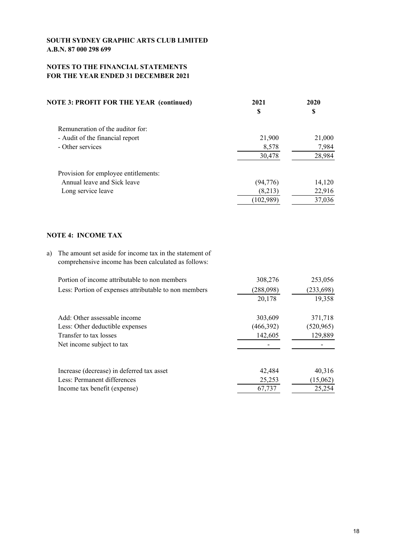# **NOTES TO THE FINANCIAL STATEMENTS FOR THE YEAR ENDED 31 DECEMBER 2021**

| <b>NOTE 3: PROFIT FOR THE YEAR (continued)</b>                                                                        | 2021<br>S | 2020<br>S  |
|-----------------------------------------------------------------------------------------------------------------------|-----------|------------|
| Remuneration of the auditor for:                                                                                      |           |            |
| - Audit of the financial report                                                                                       | 21,900    | 21,000     |
| - Other services                                                                                                      | 8,578     | 7,984      |
|                                                                                                                       | 30,478    | 28,984     |
| Provision for employee entitlements:                                                                                  |           |            |
| Annual leave and Sick leave                                                                                           | (94, 776) | 14,120     |
| Long service leave                                                                                                    | (8,213)   | 22,916     |
|                                                                                                                       | (102,989) | 37,036     |
| <b>NOTE 4: INCOME TAX</b>                                                                                             |           |            |
| The amount set aside for income tax in the statement of<br>a)<br>comprehensive income has been calculated as follows: |           |            |
| Portion of income attributable to non members                                                                         | 308,276   | 253,056    |
| Less: Portion of expenses attributable to non members                                                                 | (288,098) | (233, 698) |
|                                                                                                                       | 20,178    | 19,358     |
| A dd. Other essessable income                                                                                         | 202.600   | 271710     |

Add: Other assessable income 303,609 371,718 Less: Other deductible expenses (466,392) (520,965) Transfer to tax losses 142,605 129,889 Net income subject to tax Increase (decrease) in deferred tax asset 42,484 40,316 Less: Permanent differences 25,253 (15,062) Income tax benefit (expense) 67,737 67,737 25,254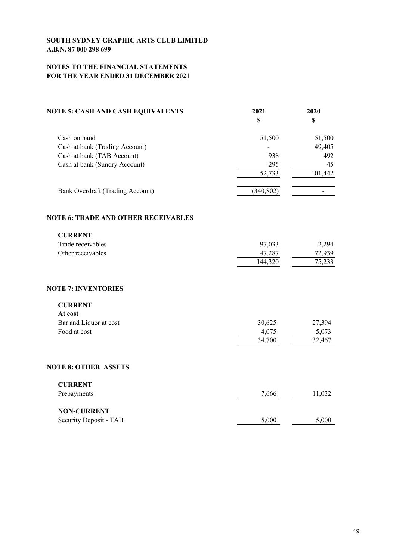# **NOTES TO THE FINANCIAL STATEMENTS FOR THE YEAR ENDED 31 DECEMBER 2021**

| <b>NOTE 5: CASH AND CASH EQUIVALENTS</b>   | 2021<br>\$ | 2020<br>\$ |
|--------------------------------------------|------------|------------|
| Cash on hand                               | 51,500     | 51,500     |
| Cash at bank (Trading Account)             |            | 49,405     |
| Cash at bank (TAB Account)                 | 938        | 492        |
| Cash at bank (Sundry Account)              | 295        | 45         |
|                                            | 52,733     | 101,442    |
| Bank Overdraft (Trading Account)           | (340, 802) |            |
| <b>NOTE 6: TRADE AND OTHER RECEIVABLES</b> |            |            |
| <b>CURRENT</b>                             |            |            |
| Trade receivables                          | 97,033     | 2,294      |
| Other receivables                          | 47,287     | 72,939     |
|                                            | 144,320    | 75,233     |
| <b>NOTE 7: INVENTORIES</b>                 |            |            |
| <b>CURRENT</b>                             |            |            |
| At cost                                    |            |            |
| Bar and Liquor at cost                     | 30,625     | 27,394     |
| Food at cost                               | 4,075      | 5,073      |
|                                            | 34,700     | 32,467     |
| <b>NOTE 8: OTHER ASSETS</b>                |            |            |
| <b>CURRENT</b>                             |            |            |
| Prepayments                                | 7,666      | 11,032     |
| <b>NON-CURRENT</b>                         |            |            |
| Security Deposit - TAB                     | 5,000      | 5,000      |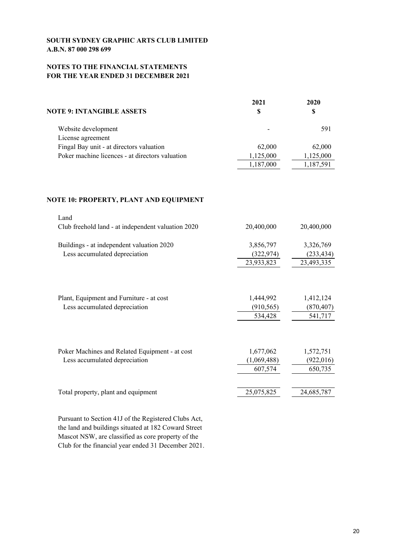# **NOTES TO THE FINANCIAL STATEMENTS FOR THE YEAR ENDED 31 DECEMBER 2021**

|                                                 | 2021                     | 2020      |
|-------------------------------------------------|--------------------------|-----------|
| NOTE 9: INTANGIBLE ASSETS                       |                          | S         |
| Website development                             | $\overline{\phantom{0}}$ | 591       |
| License agreement                               |                          |           |
| Fingal Bay unit - at directors valuation        | 62,000                   | 62,000    |
| Poker machine licences - at directors valuation | 1,125,000                | 1,125,000 |
|                                                 | 1,187,000                | 1,187,591 |

# **NOTE 10: PROPERTY, PLANT AND EQUIPMENT**

| Land                                               |             |            |
|----------------------------------------------------|-------------|------------|
| Club freehold land - at independent valuation 2020 | 20,400,000  | 20,400,000 |
|                                                    |             |            |
| Buildings - at independent valuation 2020          | 3,856,797   | 3,326,769  |
| Less accumulated depreciation                      | (322,974)   | (233, 434) |
|                                                    | 23,933,823  | 23,493,335 |
|                                                    |             |            |
| Plant, Equipment and Furniture - at cost           | 1,444,992   | 1,412,124  |
| Less accumulated depreciation                      | (910, 565)  | (870, 407) |
|                                                    | 534,428     | 541,717    |
|                                                    |             |            |
| Poker Machines and Related Equipment - at cost     | 1,677,062   | 1,572,751  |
| Less accumulated depreciation                      | (1,069,488) | (922, 016) |
|                                                    | 607,574     | 650,735    |
|                                                    | 25,075,825  |            |
| Total property, plant and equipment                |             | 24,685,787 |
|                                                    |             |            |

Pursuant to Section 41J of the Registered Clubs Act, the land and buildings situated at 182 Coward Street Mascot NSW, are classified as core property of the Club for the financial year ended 31 December 2021.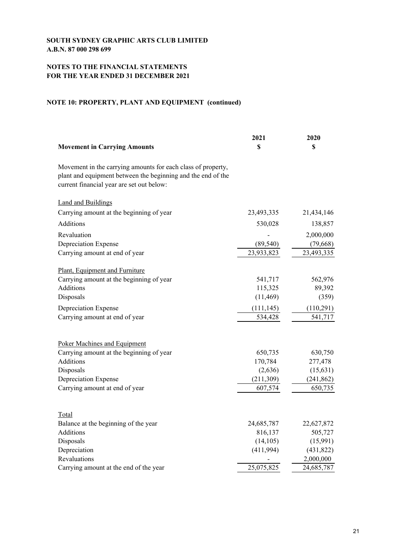# **NOTES TO THE FINANCIAL STATEMENTS FOR THE YEAR ENDED 31 DECEMBER 2021**

# **NOTE 10: PROPERTY, PLANT AND EQUIPMENT (continued)**

|                                                                                                                                                                           | 2021       | 2020       |
|---------------------------------------------------------------------------------------------------------------------------------------------------------------------------|------------|------------|
| <b>Movement in Carrying Amounts</b>                                                                                                                                       | \$         | \$         |
| Movement in the carrying amounts for each class of property,<br>plant and equipment between the beginning and the end of the<br>current financial year are set out below: |            |            |
| <b>Land and Buildings</b>                                                                                                                                                 |            |            |
| Carrying amount at the beginning of year                                                                                                                                  | 23,493,335 | 21,434,146 |
| Additions                                                                                                                                                                 | 530,028    | 138,857    |
| Revaluation                                                                                                                                                               |            | 2,000,000  |
| Depreciation Expense                                                                                                                                                      | (89, 540)  | (79, 668)  |
| Carrying amount at end of year                                                                                                                                            | 23,933,823 | 23,493,335 |
| Plant, Equipment and Furniture                                                                                                                                            |            |            |
| Carrying amount at the beginning of year                                                                                                                                  | 541,717    | 562,976    |
| Additions                                                                                                                                                                 | 115,325    | 89,392     |
| Disposals                                                                                                                                                                 | (11, 469)  | (359)      |
| Depreciation Expense                                                                                                                                                      | (111, 145) | (110,291)  |
| Carrying amount at end of year                                                                                                                                            | 534,428    | 541,717    |
|                                                                                                                                                                           |            |            |
| Poker Machines and Equipment                                                                                                                                              |            |            |
| Carrying amount at the beginning of year                                                                                                                                  | 650,735    | 630,750    |
| Additions                                                                                                                                                                 | 170,784    | 277,478    |
| Disposals                                                                                                                                                                 | (2,636)    | (15, 631)  |
| Depreciation Expense                                                                                                                                                      | (211,309)  | (241, 862) |
| Carrying amount at end of year                                                                                                                                            | 607,574    | 650,735    |
| Total                                                                                                                                                                     |            |            |
| Balance at the beginning of the year                                                                                                                                      | 24,685,787 | 22,627,872 |
| Additions                                                                                                                                                                 | 816,137    | 505,727    |
| Disposals                                                                                                                                                                 | (14, 105)  | (15,991)   |
| Depreciation                                                                                                                                                              | (411,994)  | (431,822)  |
| Revaluations                                                                                                                                                              |            | 2,000,000  |
| Carrying amount at the end of the year                                                                                                                                    | 25,075,825 | 24,685,787 |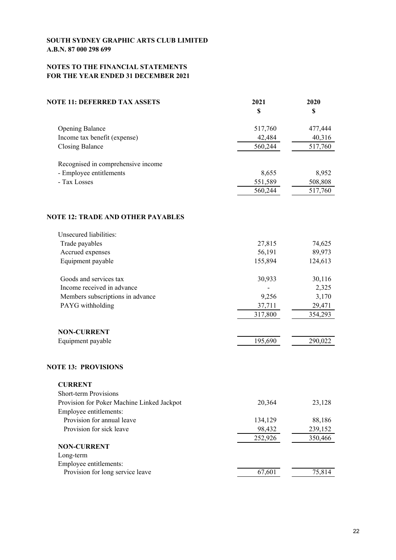# **NOTES TO THE FINANCIAL STATEMENTS FOR THE YEAR ENDED 31 DECEMBER 2021**

| <b>NOTE 11: DEFERRED TAX ASSETS</b>                                  | 2021    | 2020    |
|----------------------------------------------------------------------|---------|---------|
|                                                                      | S       | \$      |
| <b>Opening Balance</b>                                               | 517,760 | 477,444 |
| Income tax benefit (expense)                                         | 42,484  | 40,316  |
| <b>Closing Balance</b>                                               | 560,244 | 517,760 |
| Recognised in comprehensive income                                   |         |         |
| - Employee entitlements                                              | 8,655   | 8,952   |
| - Tax Losses                                                         | 551,589 | 508,808 |
|                                                                      | 560,244 | 517,760 |
| <b>NOTE 12: TRADE AND OTHER PAYABLES</b>                             |         |         |
| Unsecured liabilities:                                               |         |         |
| Trade payables                                                       | 27,815  | 74,625  |
| Accrued expenses                                                     | 56,191  | 89,973  |
| Equipment payable                                                    | 155,894 | 124,613 |
| Goods and services tax                                               | 30,933  | 30,116  |
| Income received in advance                                           |         | 2,325   |
| Members subscriptions in advance                                     | 9,256   | 3,170   |
| PAYG withholding                                                     | 37,711  | 29,471  |
|                                                                      | 317,800 | 354,293 |
| <b>NON-CURRENT</b>                                                   |         |         |
| Equipment payable                                                    | 195,690 | 290,022 |
| <b>NOTE 13: PROVISIONS</b>                                           |         |         |
| <b>CURRENT</b>                                                       |         |         |
| Short-term Provisions                                                |         |         |
| Provision for Poker Machine Linked Jackpot<br>Employee entitlements: | 20,364  | 23,128  |
| Provision for annual leave                                           | 134,129 | 88,186  |
| Provision for sick leave                                             | 98,432  | 239,152 |
|                                                                      | 252,926 | 350,466 |
| <b>NON-CURRENT</b>                                                   |         |         |
| Long-term                                                            |         |         |
| Employee entitlements:                                               |         |         |
| Provision for long service leave                                     | 67,601  | 75,814  |
|                                                                      |         |         |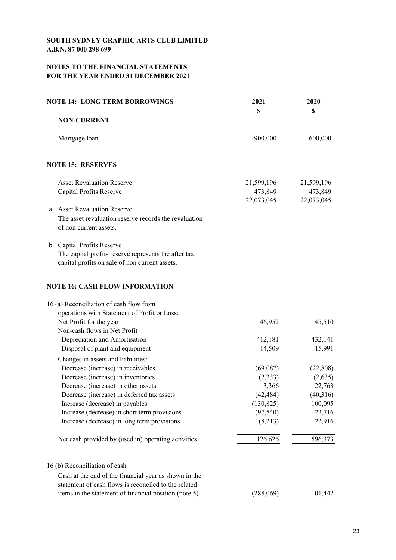# **NOTES TO THE FINANCIAL STATEMENTS FOR THE YEAR ENDED 31 DECEMBER 2021**

| <b>NOTE 14: LONG TERM BORROWINGS</b>                   | 2021       | 2020       |
|--------------------------------------------------------|------------|------------|
|                                                        | \$         | \$         |
| <b>NON-CURRENT</b>                                     |            |            |
| Mortgage loan                                          | 900,000    | 600,000    |
| <b>NOTE 15: RESERVES</b>                               |            |            |
| <b>Asset Revaluation Reserve</b>                       | 21,599,196 | 21,599,196 |
| Capital Profits Reserve                                | 473,849    | 473,849    |
|                                                        | 22,073,045 | 22,073,045 |
| a. Asset Revaluation Reserve                           |            |            |
| The asset revaluation reserve records the revaluation  |            |            |
| of non current assets.                                 |            |            |
| b. Capital Profits Reserve                             |            |            |
| The capital profits reserve represents the after tax   |            |            |
| capital profits on sale of non current assets.         |            |            |
| <b>NOTE 16: CASH FLOW INFORMATION</b>                  |            |            |
| 16 (a) Reconciliation of cash flow from                |            |            |
| operations with Statement of Profit or Loss:           |            |            |
| Net Profit for the year                                | 46,952     | 45,510     |
| Non-cash flows in Net Profit                           |            |            |
| Depreciation and Amortisation                          | 412,181    | 432,141    |
| Disposal of plant and equipment                        | 14,509     | 15,991     |
| Changes in assets and liabilities:                     |            |            |
| Decrease (increase) in receivables                     | (69,087)   | (22,808)   |
| Decrease (increase) in inventories                     | (2,233)    | (2,635)    |
| Decrease (increase) in other assets                    | 3,366      | 22,763     |
| Decrease (increase) in deferred tax assets             | (42, 484)  | (40,316)   |
| Increase (decrease) in payables                        | (130, 825) | 100,095    |
| Increase (decrease) in short term provisions           | (97, 540)  | 22,716     |
| Increase (decrease) in long term provisions            | (8,213)    | 22,916     |
| Net cash provided by (used in) operating activities    | 126,626    | 596,373    |
| 16 (b) Reconciliation of cash                          |            |            |
| Cash at the end of the financial year as shown in the  |            |            |
| statement of cash flows is reconciled to the related   |            |            |
| items in the statement of financial position (note 5). | (288,069)  | 101,442    |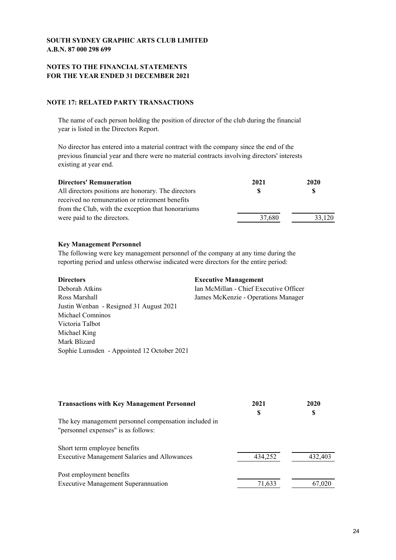# **NOTES TO THE FINANCIAL STATEMENTS FOR THE YEAR ENDED 31 DECEMBER 2021**

# **NOTE 17: RELATED PARTY TRANSACTIONS**

The name of each person holding the position of director of the club during the financial year is listed in the Directors Report.

No director has entered into a material contract with the company since the end of the previous financial year and there were no material contracts involving directors' interests existing at year end.

| 2021   | 2020   |
|--------|--------|
| S      |        |
|        |        |
|        |        |
| 37,680 | 33,120 |
|        |        |

# **Key Management Personnel**

The following were key management personnel of the company at any time during the reporting period and unless otherwise indicated were directors for the entire period:

| <b>Directors</b>                           | <b>Executive Management</b>            |
|--------------------------------------------|----------------------------------------|
| Deborah Atkins                             | Ian McMillan - Chief Executive Officer |
| Ross Marshall                              | James McKenzie - Operations Manager    |
| Justin Wenban - Resigned 31 August 2021    |                                        |
| Michael Comninos                           |                                        |
| Victoria Talbot                            |                                        |
| Michael King                               |                                        |
| Mark Blizard                               |                                        |
| Sophie Lumsden - Appointed 12 October 2021 |                                        |

| <b>Transactions with Key Management Personnel</b>     | 2021<br>S | 2020<br>S |
|-------------------------------------------------------|-----------|-----------|
| The key management personnel compensation included in |           |           |
| "personnel expenses" is as follows:                   |           |           |
| Short term employee benefits                          |           |           |
| <b>Executive Management Salaries and Allowances</b>   | 434,252   | 432,403   |
| Post employment benefits                              |           |           |
| <b>Executive Management Superannuation</b>            | 71,633    | 67,020    |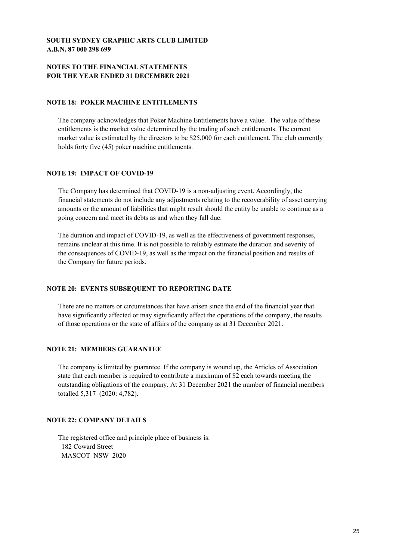# **NOTES TO THE FINANCIAL STATEMENTS FOR THE YEAR ENDED 31 DECEMBER 2021**

### **NOTE 18: POKER MACHINE ENTITLEMENTS**

The company acknowledges that Poker Machine Entitlements have a value. The value of these entitlements is the market value determined by the trading of such entitlements. The current market value is estimated by the directors to be \$25,000 for each entitlement. The club currently holds forty five (45) poker machine entitlements.

# **NOTE 19: IMPACT OF COVID-19**

The Company has determined that COVID-19 is a non-adjusting event. Accordingly, the financial statements do not include any adjustments relating to the recoverability of asset carrying amounts or the amount of liabilities that might result should the entity be unable to continue as a going concern and meet its debts as and when they fall due.

The duration and impact of COVID-19, as well as the effectiveness of government responses, remains unclear at this time. It is not possible to reliably estimate the duration and severity of the consequences of COVID-19, as well as the impact on the financial position and results of the Company for future periods.

# **NOTE 20: EVENTS SUBSEQUENT TO REPORTING DATE**

There are no matters or circumstances that have arisen since the end of the financial year that have significantly affected or may significantly affect the operations of the company, the results of those operations or the state of affairs of the company as at 31 December 2021.

# **NOTE 21: MEMBERS GUARANTEE**

The company is limited by guarantee. If the company is wound up, the Articles of Association state that each member is required to contribute a maximum of \$2 each towards meeting the outstanding obligations of the company. At 31 December 2021 the number of financial members totalled 5,317 (2020: 4,782).

# **NOTE 22: COMPANY DETAILS**

The registered office and principle place of business is: 182 Coward Street MASCOT NSW 2020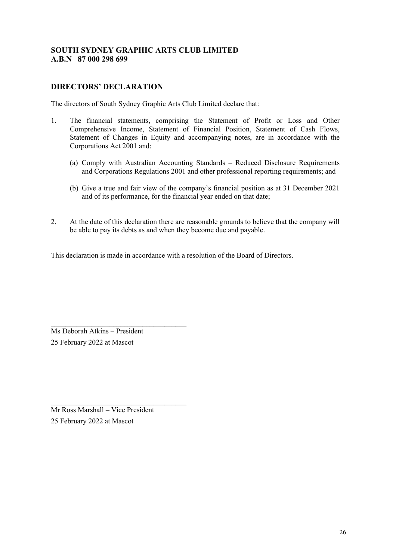# **DIRECTORS' DECLARATION**

The directors of South Sydney Graphic Arts Club Limited declare that:

- 1. The financial statements, comprising the Statement of Profit or Loss and Other Comprehensive Income, Statement of Financial Position, Statement of Cash Flows, Statement of Changes in Equity and accompanying notes, are in accordance with the Corporations Act 2001 and:
	- (a) Comply with Australian Accounting Standards Reduced Disclosure Requirements and Corporations Regulations 2001 and other professional reporting requirements; and
	- (b) Give a true and fair view of the company's financial position as at 31 December 2021 and of its performance, for the financial year ended on that date;
- 2. At the date of this declaration there are reasonable grounds to believe that the company will be able to pay its debts as and when they become due and payable.

This declaration is made in accordance with a resolution of the Board of Directors.

Ms Deborah Atkins – President 25 February 2022 at Mascot

**\_\_\_\_\_\_\_\_\_\_\_\_\_\_\_\_\_\_\_\_\_\_\_\_\_\_\_\_\_\_\_\_\_\_\_\_\_** 

**\_\_\_\_\_\_\_\_\_\_\_\_\_\_\_\_\_\_\_\_\_\_\_\_\_\_\_\_\_\_\_\_\_\_\_\_\_** 

Mr Ross Marshall – Vice President 25 February 2022 at Mascot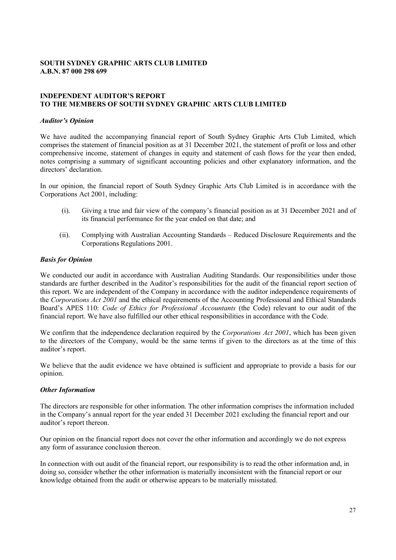# **INDEPENDENT AUDITOR'S REPORT TO THE MEMBERS OF SOUTH SYDNEY GRAPHIC ARTS CLUB LIMITED**

#### *Auditor's Opinion*

We have audited the accompanying financial report of South Sydney Graphic Arts Club Limited, which comprises the statement of financial position as at 31 December 2021, the statement of profit or loss and other comprehensive income, statement of changes in equity and statement of cash flows for the year then ended, notes comprising a summary of significant accounting policies and other explanatory information, and the directors' declaration.

In our opinion, the financial report of South Sydney Graphic Arts Club Limited is in accordance with the Corporations Act 2001, including:

- (i). Giving a true and fair view of the company's financial position as at 31 December 2021 and of its financial performance for the year ended on that date; and
- (ii). Complying with Australian Accounting Standards Reduced Disclosure Requirements and the Corporations Regulations 2001.

#### *Basis for Opinion*

We conducted our audit in accordance with Australian Auditing Standards. Our responsibilities under those standards are further described in the Auditor's responsibilities for the audit of the financial report section of this report. We are independent of the Company in accordance with the auditor independence requirements of the *Corporations Act 2001* and the ethical requirements of the Accounting Professional and Ethical Standards Board's APES 110: *Code of Ethics for Professional Accountants* (the Code) relevant to our audit of the financial report. We have also fulfilled our other ethical responsibilities in accordance with the Code.

We confirm that the independence declaration required by the *Corporations Act 2001*, which has been given to the directors of the Company, would be the same terms if given to the directors as at the time of this auditor's report.

We believe that the audit evidence we have obtained is sufficient and appropriate to provide a basis for our opinion.

#### *Other Information*

The directors are responsible for other information. The other information comprises the information included in the Company's annual report for the year ended 31 December 2021 excluding the financial report and our auditor's report thereon.

Our opinion on the financial report does not cover the other information and accordingly we do not express any form of assurance conclusion thereon.

In connection with out audit of the financial report, our responsibility is to read the other information and, in doing so, consider whether the other information is materially inconsistent with the financial report or our knowledge obtained from the audit or otherwise appears to be materially misstated.